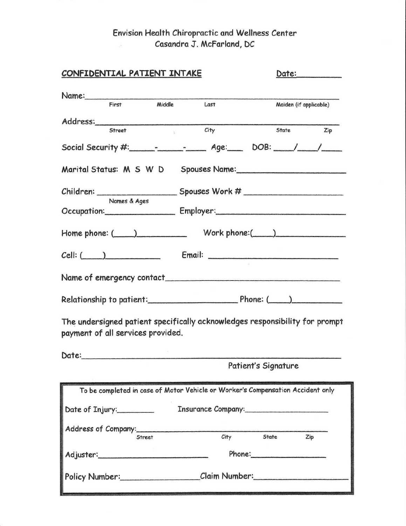#### Envision Health Chiropractic and Wellness Center Casandra J. McFarland, DC  $\sim 10^{-1}$

| CONFIDENTIAL PATIENT INTAKE       |               | Date:__________                                                                 |                             |                        |
|-----------------------------------|---------------|---------------------------------------------------------------------------------|-----------------------------|------------------------|
|                                   |               |                                                                                 |                             |                        |
| First                             |               | Middle Last                                                                     |                             | Maiden (if applicable) |
| Street                            | 犯             | City                                                                            | State                       | Zip                    |
|                                   |               | Social Security #: _______________________ Age: _____ DOB: ____/ ____/          |                             |                        |
|                                   |               |                                                                                 |                             |                        |
|                                   | Names & Ages  |                                                                                 |                             |                        |
|                                   |               | Occupation: Employer: Employer:                                                 |                             |                        |
| $Home$ phone: $(\_\_)$            |               |                                                                                 | Work phone: $\qquad \qquad$ |                        |
|                                   |               | $Cell:$ $[$                                                                     |                             |                        |
|                                   |               |                                                                                 |                             |                        |
|                                   |               |                                                                                 |                             |                        |
| payment of all services provided. |               | The undersigned patient specifically acknowledges responsibility for prompt     |                             |                        |
|                                   |               |                                                                                 |                             |                        |
|                                   |               |                                                                                 | Patient's Signature         |                        |
|                                   |               | To be completed in case of Motor Vehicle or Worker's Compensation Accident only |                             |                        |
| Date of Injury:                   |               | Insurance Company: 1988 1999                                                    |                             |                        |
| Address of Company:               | <b>Street</b> | City                                                                            | <b>State</b>                | Zip                    |
|                                   |               |                                                                                 | Phone: 2000                 |                        |
|                                   |               | Policy Number: Claim Number: Claim Claim Number                                 |                             |                        |
|                                   |               |                                                                                 |                             |                        |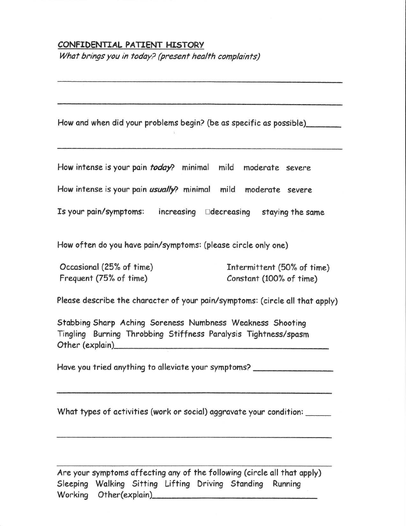## CONFIDENTIAL PATIENT HISTORY

What brings you in today? (present health complaints)

How and when did your problems begin? (be as specific as possible)

How intense is your pain *today*? minimal mild moderate severe

How intense is your pain *usually*? minimal mild moderate severe

Is your pain/symptoms: increasing  $\Box$ decreasing staying the same

How often do you have pain/symptoms: (please circle only one)

Occasional (25% of time) Frequent (75% of time)

Intermittent (50% of time) Constant (100% of time)

Please describe the character of your pain/symptoms: (circle all that apply)

Stabbing Sharp Aching Soreness Numbness Weakness Shooting Tingling Burning Throbbing Stiffness Paralysis Tightness/spasm Other (explain)

Have you tried anything to alleviate your symptoms?

What types of activities (work or social) aggravate your condition:

Are your symptoms affecting any of the following (circle all that apply) Sleeping Walking Sitting Lifting Driving Standing Running Working Other(explain)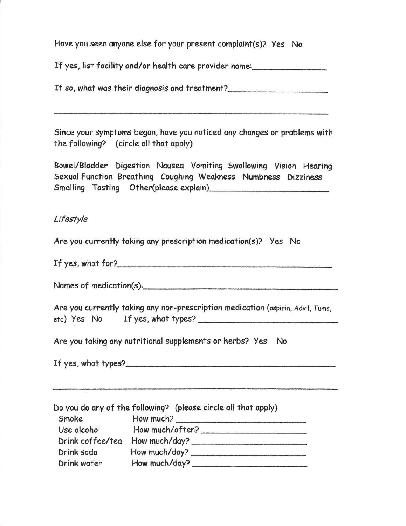Have you seen anyone else for your present complaint(s)? Yes No

If yes, list facility and/or health care provider name:

If so, what was their diagnosis and treatment?

Since your symptoms began, have you noticed any changes or problems with the following? (circle all that apply)

Bowel/Bladder Digestion Nausea Vomiting Swallowing Vision Hearing Sexual Function Breathing Coughing Weakness Numbness Dizziness Smelling Tasting Other(please explain)

### Lifestyle

Are you currently taking any prescription medication(s)? Yes No

If yes, what for?

Names of medication(s):

Are you currently taking any non-prescription medication (aspirin, Advil, Tums, etc) Yes No If yes, what types?

Are you taking any nutritional supplements or herbs? Yes No

If yes, what types? $\sqrt{\frac{1}{2} \left( \frac{1}{2} + \frac{1}{2} \right)^2 + \left( \frac{1}{2} + \frac{1}{2} \right)^2}$ 

|                  | Do you do any of the following? (please circle all that apply) |
|------------------|----------------------------------------------------------------|
| Smoke            | How much?                                                      |
| Use alcohol      | How much/often?                                                |
| Drink coffee/tea | How much/day?                                                  |
| Drink soda       | How much/day?                                                  |
| Drink water      | How much/day?                                                  |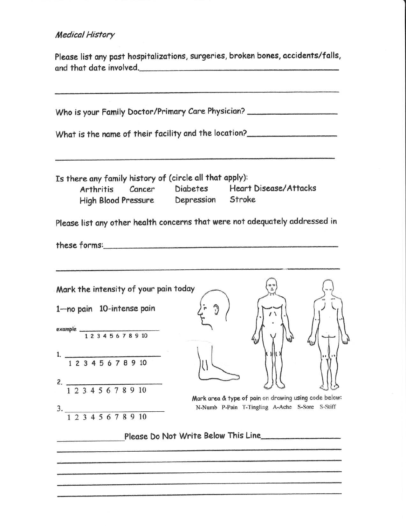#### **Medical History**

Please list any past hospitalizations, surgeries, broken bones, accidents/falls, 

Who is your Family Doctor/Primary Care Physician? \_\_\_\_\_\_\_\_\_\_\_\_\_\_\_\_\_\_\_\_\_\_\_\_\_\_\_\_\_\_ What is the name of their facility and the location? Is there any family history of (circle all that apply): **Heart Disease/Attacks Diabetes** Arthritis Cancer Depression **High Blood Pressure** Stroke

Please list any other health concerns that were not adequately addressed in

Mark the intensity of your pain today 1-no pain 10-intense pain example  $\frac{12345678910}{12345678910}$ 1.  $\frac{1}{12345678910}$ 2.  $\frac{12345678910}{12345678910}$ Mark area & type of pain on drawing using code below:  $3.$   $\frac{1}{1}$   $\frac{2}{3}$   $\frac{4}{5}$   $\frac{5}{6}$   $\frac{7}{8}$   $\frac{8}{9}$   $\frac{10}{10}$ N-Numb P-Pain T-Tingling A-Ache S-Sore S-Stiff

Please Do Not Write Below This Line